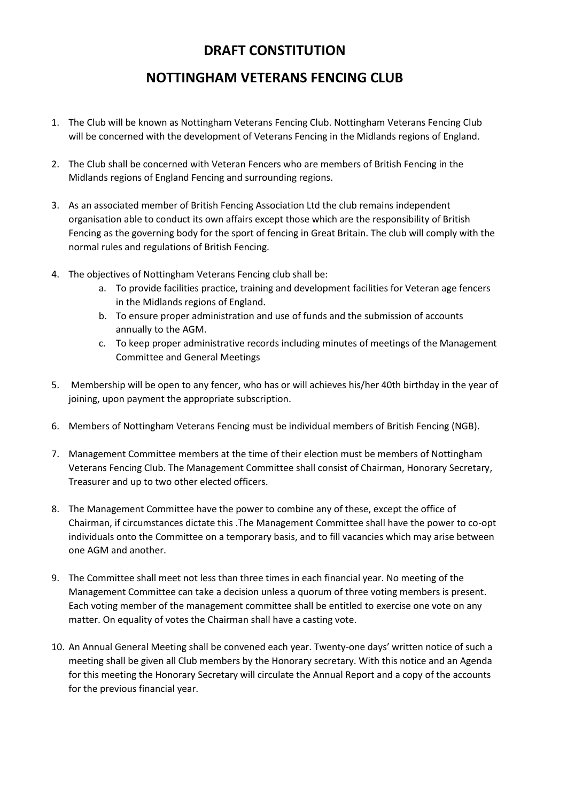## **DRAFT CONSTITUTION**

## **NOTTINGHAM VETERANS FENCING CLUB**

- 1. The Club will be known as Nottingham Veterans Fencing Club. Nottingham Veterans Fencing Club will be concerned with the development of Veterans Fencing in the Midlands regions of England.
- 2. The Club shall be concerned with Veteran Fencers who are members of British Fencing in the Midlands regions of England Fencing and surrounding regions.
- 3. As an associated member of British Fencing Association Ltd the club remains independent organisation able to conduct its own affairs except those which are the responsibility of British Fencing as the governing body for the sport of fencing in Great Britain. The club will comply with the normal rules and regulations of British Fencing.
- 4. The objectives of Nottingham Veterans Fencing club shall be:
	- a. To provide facilities practice, training and development facilities for Veteran age fencers in the Midlands regions of England.
	- b. To ensure proper administration and use of funds and the submission of accounts annually to the AGM.
	- c. To keep proper administrative records including minutes of meetings of the Management Committee and General Meetings
- 5. Membership will be open to any fencer, who has or will achieves his/her 40th birthday in the year of joining, upon payment the appropriate subscription.
- 6. Members of Nottingham Veterans Fencing must be individual members of British Fencing (NGB).
- 7. Management Committee members at the time of their election must be members of Nottingham Veterans Fencing Club. The Management Committee shall consist of Chairman, Honorary Secretary, Treasurer and up to two other elected officers.
- 8. The Management Committee have the power to combine any of these, except the office of Chairman, if circumstances dictate this .The Management Committee shall have the power to co-opt individuals onto the Committee on a temporary basis, and to fill vacancies which may arise between one AGM and another.
- 9. The Committee shall meet not less than three times in each financial year. No meeting of the Management Committee can take a decision unless a quorum of three voting members is present. Each voting member of the management committee shall be entitled to exercise one vote on any matter. On equality of votes the Chairman shall have a casting vote.
- 10. An Annual General Meeting shall be convened each year. Twenty-one days' written notice of such a meeting shall be given all Club members by the Honorary secretary. With this notice and an Agenda for this meeting the Honorary Secretary will circulate the Annual Report and a copy of the accounts for the previous financial year.